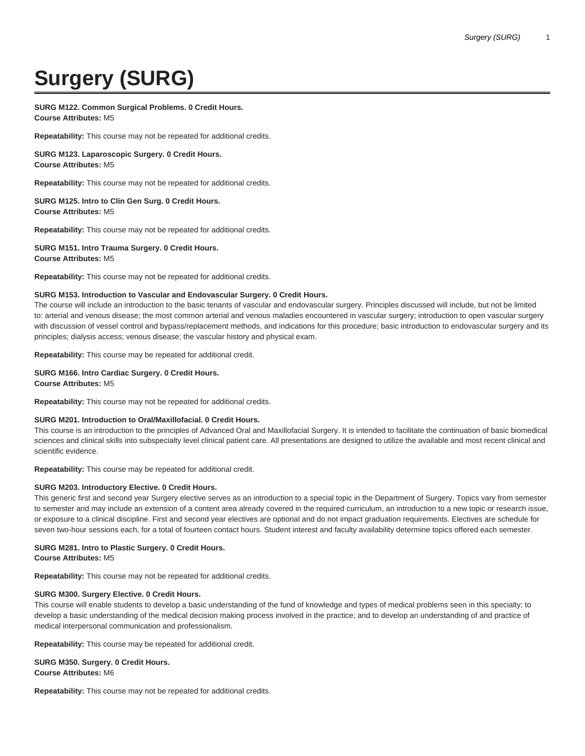# **Surgery (SURG)**

# **SURG M122. Common Surgical Problems. 0 Credit Hours.**

**Course Attributes:** M5

**Repeatability:** This course may not be repeated for additional credits.

**SURG M123. Laparoscopic Surgery. 0 Credit Hours. Course Attributes:** M5

**Repeatability:** This course may not be repeated for additional credits.

## **SURG M125. Intro to Clin Gen Surg. 0 Credit Hours. Course Attributes:** M5

**Repeatability:** This course may not be repeated for additional credits.

## **SURG M151. Intro Trauma Surgery. 0 Credit Hours. Course Attributes:** M5

**Repeatability:** This course may not be repeated for additional credits.

## **SURG M153. Introduction to Vascular and Endovascular Surgery. 0 Credit Hours.**

The course will include an introduction to the basic tenants of vascular and endovascular surgery. Principles discussed will include, but not be limited to: arterial and venous disease; the most common arterial and venous maladies encountered in vascular surgery; introduction to open vascular surgery with discussion of vessel control and bypass/replacement methods, and indications for this procedure; basic introduction to endovascular surgery and its principles; dialysis access; venous disease; the vascular history and physical exam.

**Repeatability:** This course may be repeated for additional credit.

**SURG M166. Intro Cardiac Surgery. 0 Credit Hours. Course Attributes:** M5

**Repeatability:** This course may not be repeated for additional credits.

## **SURG M201. Introduction to Oral/Maxillofacial. 0 Credit Hours.**

This course is an introduction to the principles of Advanced Oral and Maxillofacial Surgery. It is intended to facilitate the continuation of basic biomedical sciences and clinical skills into subspecialty level clinical patient care. All presentations are designed to utilize the available and most recent clinical and scientific evidence.

**Repeatability:** This course may be repeated for additional credit.

# **SURG M203. Introductory Elective. 0 Credit Hours.**

This generic first and second year Surgery elective serves as an introduction to a special topic in the Department of Surgery. Topics vary from semester to semester and may include an extension of a content area already covered in the required curriculum, an introduction to a new topic or research issue, or exposure to a clinical discipline. First and second year electives are optional and do not impact graduation requirements. Electives are schedule for seven two-hour sessions each, for a total of fourteen contact hours. Student interest and faculty availability determine topics offered each semester.

# **SURG M281. Intro to Plastic Surgery. 0 Credit Hours.**

**Course Attributes:** M5

**Repeatability:** This course may not be repeated for additional credits.

## **SURG M300. Surgery Elective. 0 Credit Hours.**

This course will enable students to develop a basic understanding of the fund of knowledge and types of medical problems seen in this specialty; to develop a basic understanding of the medical decision making process involved in the practice; and to develop an understanding of and practice of medical interpersonal communication and professionalism.

**Repeatability:** This course may be repeated for additional credit.

**SURG M350. Surgery. 0 Credit Hours. Course Attributes:** M6

**Repeatability:** This course may not be repeated for additional credits.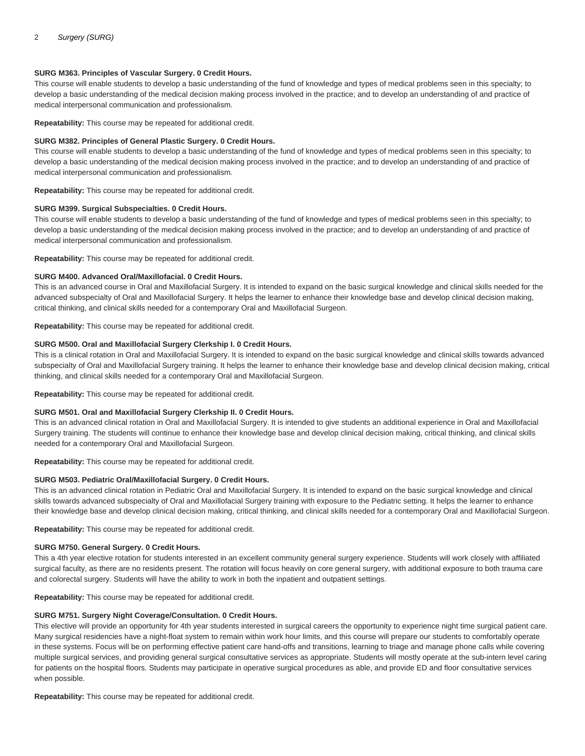## **SURG M363. Principles of Vascular Surgery. 0 Credit Hours.**

This course will enable students to develop a basic understanding of the fund of knowledge and types of medical problems seen in this specialty; to develop a basic understanding of the medical decision making process involved in the practice; and to develop an understanding of and practice of medical interpersonal communication and professionalism.

**Repeatability:** This course may be repeated for additional credit.

## **SURG M382. Principles of General Plastic Surgery. 0 Credit Hours.**

This course will enable students to develop a basic understanding of the fund of knowledge and types of medical problems seen in this specialty; to develop a basic understanding of the medical decision making process involved in the practice; and to develop an understanding of and practice of medical interpersonal communication and professionalism.

**Repeatability:** This course may be repeated for additional credit.

#### **SURG M399. Surgical Subspecialties. 0 Credit Hours.**

This course will enable students to develop a basic understanding of the fund of knowledge and types of medical problems seen in this specialty; to develop a basic understanding of the medical decision making process involved in the practice; and to develop an understanding of and practice of medical interpersonal communication and professionalism.

**Repeatability:** This course may be repeated for additional credit.

#### **SURG M400. Advanced Oral/Maxillofacial. 0 Credit Hours.**

This is an advanced course in Oral and Maxillofacial Surgery. It is intended to expand on the basic surgical knowledge and clinical skills needed for the advanced subspecialty of Oral and Maxillofacial Surgery. It helps the learner to enhance their knowledge base and develop clinical decision making, critical thinking, and clinical skills needed for a contemporary Oral and Maxillofacial Surgeon.

**Repeatability:** This course may be repeated for additional credit.

#### **SURG M500. Oral and Maxillofacial Surgery Clerkship I. 0 Credit Hours.**

This is a clinical rotation in Oral and Maxillofacial Surgery. It is intended to expand on the basic surgical knowledge and clinical skills towards advanced subspecialty of Oral and Maxillofacial Surgery training. It helps the learner to enhance their knowledge base and develop clinical decision making, critical thinking, and clinical skills needed for a contemporary Oral and Maxillofacial Surgeon.

**Repeatability:** This course may be repeated for additional credit.

## **SURG M501. Oral and Maxillofacial Surgery Clerkship II. 0 Credit Hours.**

This is an advanced clinical rotation in Oral and Maxillofacial Surgery. It is intended to give students an additional experience in Oral and Maxillofacial Surgery training. The students will continue to enhance their knowledge base and develop clinical decision making, critical thinking, and clinical skills needed for a contemporary Oral and Maxillofacial Surgeon.

**Repeatability:** This course may be repeated for additional credit.

#### **SURG M503. Pediatric Oral/Maxillofacial Surgery. 0 Credit Hours.**

This is an advanced clinical rotation in Pediatric Oral and Maxillofacial Surgery. It is intended to expand on the basic surgical knowledge and clinical skills towards advanced subspecialty of Oral and Maxillofacial Surgery training with exposure to the Pediatric setting. It helps the learner to enhance their knowledge base and develop clinical decision making, critical thinking, and clinical skills needed for a contemporary Oral and Maxillofacial Surgeon.

**Repeatability:** This course may be repeated for additional credit.

#### **SURG M750. General Surgery. 0 Credit Hours.**

This a 4th year elective rotation for students interested in an excellent community general surgery experience. Students will work closely with affiliated surgical faculty, as there are no residents present. The rotation will focus heavily on core general surgery, with additional exposure to both trauma care and colorectal surgery. Students will have the ability to work in both the inpatient and outpatient settings.

**Repeatability:** This course may be repeated for additional credit.

## **SURG M751. Surgery Night Coverage/Consultation. 0 Credit Hours.**

This elective will provide an opportunity for 4th year students interested in surgical careers the opportunity to experience night time surgical patient care. Many surgical residencies have a night-float system to remain within work hour limits, and this course will prepare our students to comfortably operate in these systems. Focus will be on performing effective patient care hand-offs and transitions, learning to triage and manage phone calls while covering multiple surgical services, and providing general surgical consultative services as appropriate. Students will mostly operate at the sub-intern level caring for patients on the hospital floors. Students may participate in operative surgical procedures as able, and provide ED and floor consultative services when possible.

**Repeatability:** This course may be repeated for additional credit.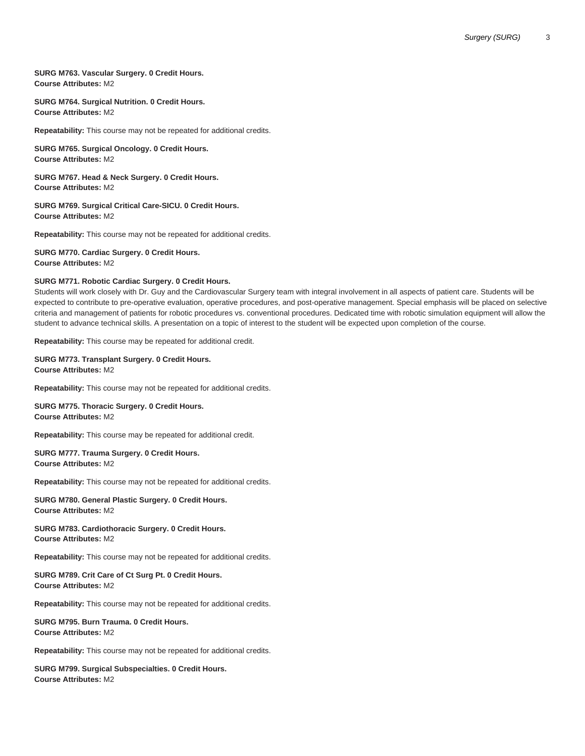## **SURG M763. Vascular Surgery. 0 Credit Hours. Course Attributes:** M2

## **SURG M764. Surgical Nutrition. 0 Credit Hours. Course Attributes:** M2

**Repeatability:** This course may not be repeated for additional credits.

**SURG M765. Surgical Oncology. 0 Credit Hours. Course Attributes:** M2

**SURG M767. Head & Neck Surgery. 0 Credit Hours. Course Attributes:** M2

**SURG M769. Surgical Critical Care-SICU. 0 Credit Hours. Course Attributes:** M2

**Repeatability:** This course may not be repeated for additional credits.

**SURG M770. Cardiac Surgery. 0 Credit Hours. Course Attributes:** M2

#### **SURG M771. Robotic Cardiac Surgery. 0 Credit Hours.**

Students will work closely with Dr. Guy and the Cardiovascular Surgery team with integral involvement in all aspects of patient care. Students will be expected to contribute to pre-operative evaluation, operative procedures, and post-operative management. Special emphasis will be placed on selective criteria and management of patients for robotic procedures vs. conventional procedures. Dedicated time with robotic simulation equipment will allow the student to advance technical skills. A presentation on a topic of interest to the student will be expected upon completion of the course.

**Repeatability:** This course may be repeated for additional credit.

#### **SURG M773. Transplant Surgery. 0 Credit Hours. Course Attributes:** M2

**Repeatability:** This course may not be repeated for additional credits.

**SURG M775. Thoracic Surgery. 0 Credit Hours. Course Attributes:** M2

**Repeatability:** This course may be repeated for additional credit.

#### **SURG M777. Trauma Surgery. 0 Credit Hours. Course Attributes:** M2

**Repeatability:** This course may not be repeated for additional credits.

## **SURG M780. General Plastic Surgery. 0 Credit Hours. Course Attributes:** M2

## **SURG M783. Cardiothoracic Surgery. 0 Credit Hours. Course Attributes:** M2

**Repeatability:** This course may not be repeated for additional credits.

## **SURG M789. Crit Care of Ct Surg Pt. 0 Credit Hours. Course Attributes:** M2

**Repeatability:** This course may not be repeated for additional credits.

## **SURG M795. Burn Trauma. 0 Credit Hours. Course Attributes:** M2

**Repeatability:** This course may not be repeated for additional credits.

**SURG M799. Surgical Subspecialties. 0 Credit Hours. Course Attributes:** M2